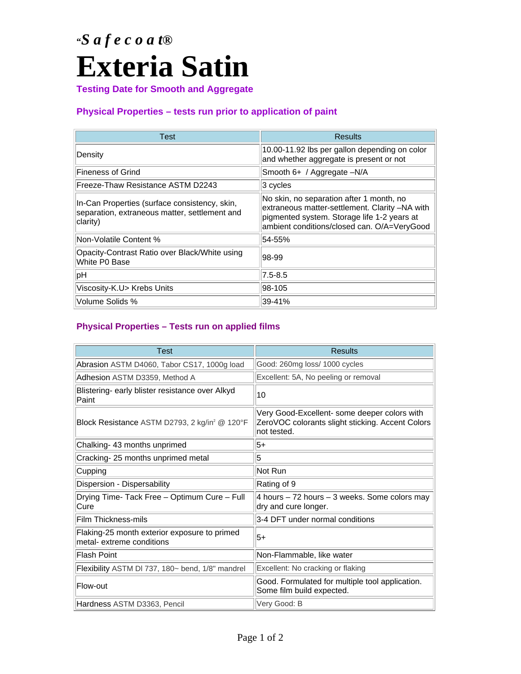# **"***S a f e c o a t®*  **Exteria Satin**

**Testing Date for Smooth and Aggregate** 

### **Physical Properties – tests run prior to application of paint**

| Test                                                                                                       | <b>Results</b>                                                                                                                                                                           |
|------------------------------------------------------------------------------------------------------------|------------------------------------------------------------------------------------------------------------------------------------------------------------------------------------------|
| Density                                                                                                    | 10.00-11.92 lbs per gallon depending on color<br>and whether aggregate is present or not                                                                                                 |
| <b>Fineness of Grind</b>                                                                                   | Smooth 6+ / Aggregate -N/A                                                                                                                                                               |
| Freeze-Thaw Resistance ASTM D2243                                                                          | $ 3$ cycles                                                                                                                                                                              |
| In-Can Properties (surface consistency, skin,<br>separation, extraneous matter, settlement and<br>clarity) | No skin, no separation after 1 month, no<br>extraneous matter-settlement. Clarity -NA with<br>pigmented system. Storage life 1-2 years at<br>ambient conditions/closed can. O/A=VeryGood |
| Non-Volatile Content %                                                                                     | 54-55%                                                                                                                                                                                   |
| Opacity-Contrast Ratio over Black/White using<br>White P0 Base                                             | 98-99                                                                                                                                                                                    |
| pH                                                                                                         | $7.5 - 8.5$                                                                                                                                                                              |
| Viscosity-K.U> Krebs Units                                                                                 | 98-105                                                                                                                                                                                   |
| Volume Solids %                                                                                            | 39-41%                                                                                                                                                                                   |

### **Physical Properties – Tests run on applied films**

| <b>Test</b>                                                               | <b>Results</b>                                                                                                  |
|---------------------------------------------------------------------------|-----------------------------------------------------------------------------------------------------------------|
| Abrasion ASTM D4060, Tabor CS17, 1000g load                               | Good: 260mg loss/ 1000 cycles                                                                                   |
| Adhesion ASTM D3359, Method A                                             | Excellent: 5A, No peeling or removal                                                                            |
| Blistering- early blister resistance over Alkyd<br>Paint                  | 10                                                                                                              |
| Block Resistance ASTM D2793, 2 kg/in <sup>2</sup> @ 120°F                 | Very Good-Excellent- some deeper colors with<br>ZeroVOC colorants slight sticking. Accent Colors<br>not tested. |
| Chalking- 43 months unprimed                                              | $5+$                                                                                                            |
| Cracking-25 months unprimed metal                                         | 5                                                                                                               |
| Cupping                                                                   | Not Run                                                                                                         |
| Dispersion - Dispersability                                               | Rating of 9                                                                                                     |
| Drying Time- Tack Free - Optimum Cure - Full<br>Cure                      | 4 hours – 72 hours – 3 weeks. Some colors may<br>dry and cure longer.                                           |
| Film Thickness-mils                                                       | 3-4 DFT under normal conditions                                                                                 |
| Flaking-25 month exterior exposure to primed<br>metal- extreme conditions | $5+$                                                                                                            |
| Flash Point                                                               | Non-Flammable, like water                                                                                       |
| Flexibility ASTM DI 737, 180~ bend, 1/8" mandrel                          | Excellent: No cracking or flaking                                                                               |
| Flow-out                                                                  | Good. Formulated for multiple tool application.<br>Some film build expected.                                    |
| Hardness ASTM D3363, Pencil                                               | Very Good: B                                                                                                    |